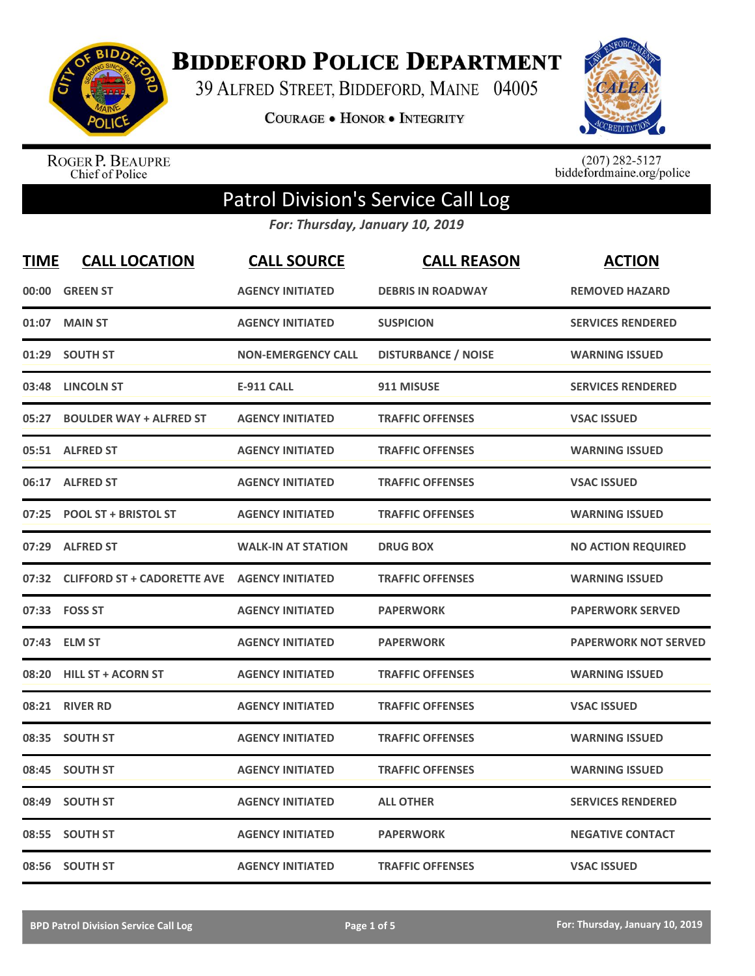

**BIDDEFORD POLICE DEPARTMENT** 

39 ALFRED STREET, BIDDEFORD, MAINE 04005

**COURAGE . HONOR . INTEGRITY** 



ROGER P. BEAUPRE<br>Chief of Police

 $(207)$  282-5127<br>biddefordmaine.org/police

## Patrol Division's Service Call Log

*For: Thursday, January 10, 2019*

| <b>TIME</b> | <b>CALL LOCATION</b>                                | <b>CALL SOURCE</b>        | <b>CALL REASON</b>         | <b>ACTION</b>               |
|-------------|-----------------------------------------------------|---------------------------|----------------------------|-----------------------------|
| 00:00       | <b>GREEN ST</b>                                     | <b>AGENCY INITIATED</b>   | <b>DEBRIS IN ROADWAY</b>   | <b>REMOVED HAZARD</b>       |
| 01:07       | <b>MAIN ST</b>                                      | <b>AGENCY INITIATED</b>   | <b>SUSPICION</b>           | <b>SERVICES RENDERED</b>    |
| 01:29       | <b>SOUTH ST</b>                                     | <b>NON-EMERGENCY CALL</b> | <b>DISTURBANCE / NOISE</b> | <b>WARNING ISSUED</b>       |
| 03:48       | <b>LINCOLN ST</b>                                   | <b>E-911 CALL</b>         | 911 MISUSE                 | <b>SERVICES RENDERED</b>    |
| 05:27       | <b>BOULDER WAY + ALFRED ST</b>                      | <b>AGENCY INITIATED</b>   | <b>TRAFFIC OFFENSES</b>    | <b>VSAC ISSUED</b>          |
|             | 05:51 ALFRED ST                                     | <b>AGENCY INITIATED</b>   | <b>TRAFFIC OFFENSES</b>    | <b>WARNING ISSUED</b>       |
| 06:17       | <b>ALFRED ST</b>                                    | <b>AGENCY INITIATED</b>   | <b>TRAFFIC OFFENSES</b>    | <b>VSAC ISSUED</b>          |
| 07:25       | <b>POOL ST + BRISTOL ST</b>                         | <b>AGENCY INITIATED</b>   | <b>TRAFFIC OFFENSES</b>    | <b>WARNING ISSUED</b>       |
| 07:29       | <b>ALFRED ST</b>                                    | <b>WALK-IN AT STATION</b> | <b>DRUG BOX</b>            | <b>NO ACTION REQUIRED</b>   |
| 07:32       | <b>CLIFFORD ST + CADORETTE AVE AGENCY INITIATED</b> |                           | <b>TRAFFIC OFFENSES</b>    | <b>WARNING ISSUED</b>       |
|             | 07:33    FOSS ST                                    | <b>AGENCY INITIATED</b>   | <b>PAPERWORK</b>           | <b>PAPERWORK SERVED</b>     |
| 07:43       | <b>ELM ST</b>                                       | <b>AGENCY INITIATED</b>   | <b>PAPERWORK</b>           | <b>PAPERWORK NOT SERVED</b> |
| 08:20       | <b>HILL ST + ACORN ST</b>                           | <b>AGENCY INITIATED</b>   | <b>TRAFFIC OFFENSES</b>    | <b>WARNING ISSUED</b>       |
| 08:21       | <b>RIVER RD</b>                                     | <b>AGENCY INITIATED</b>   | <b>TRAFFIC OFFENSES</b>    | <b>VSAC ISSUED</b>          |
| 08:35       | <b>SOUTH ST</b>                                     | <b>AGENCY INITIATED</b>   | <b>TRAFFIC OFFENSES</b>    | <b>WARNING ISSUED</b>       |
| 08:45       | <b>SOUTH ST</b>                                     | <b>AGENCY INITIATED</b>   | <b>TRAFFIC OFFENSES</b>    | <b>WARNING ISSUED</b>       |
| 08:49       | <b>SOUTH ST</b>                                     | <b>AGENCY INITIATED</b>   | <b>ALL OTHER</b>           | <b>SERVICES RENDERED</b>    |
| 08:55       | <b>SOUTH ST</b>                                     | <b>AGENCY INITIATED</b>   | <b>PAPERWORK</b>           | <b>NEGATIVE CONTACT</b>     |
|             | 08:56 SOUTH ST                                      | <b>AGENCY INITIATED</b>   | <b>TRAFFIC OFFENSES</b>    | <b>VSAC ISSUED</b>          |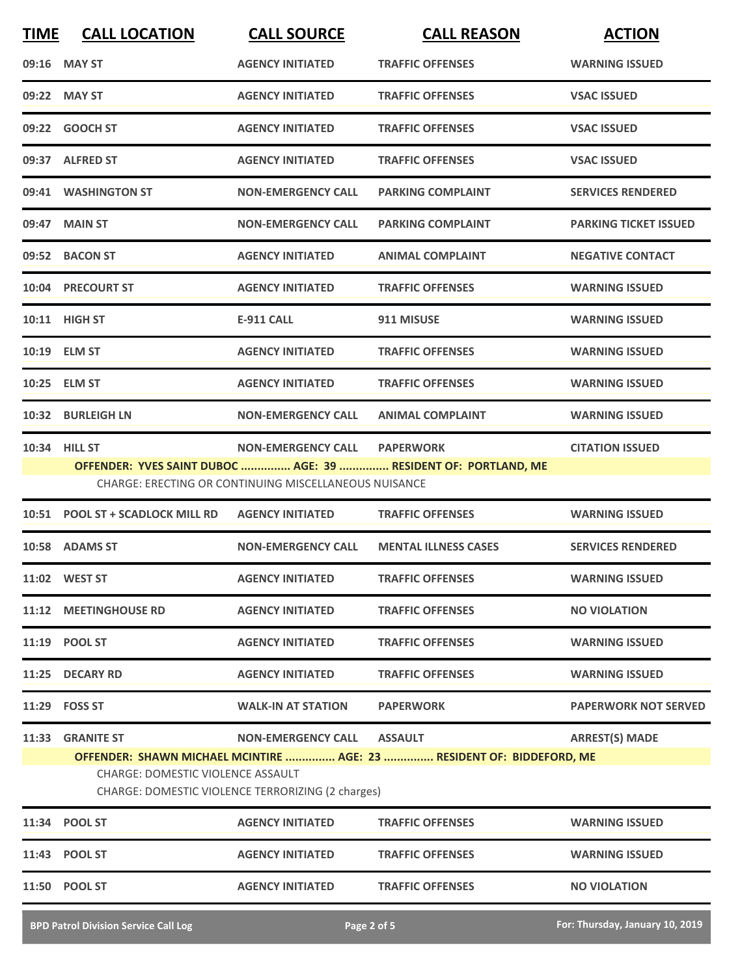| <b>TIME</b> | <b>CALL LOCATION</b>             | <b>CALL SOURCE</b>                                    | <b>CALL REASON</b>                                             | <b>ACTION</b>                |
|-------------|----------------------------------|-------------------------------------------------------|----------------------------------------------------------------|------------------------------|
|             | 09:16 MAY ST                     | <b>AGENCY INITIATED</b>                               | <b>TRAFFIC OFFENSES</b>                                        | <b>WARNING ISSUED</b>        |
|             | 09:22 MAY ST                     | <b>AGENCY INITIATED</b>                               | <b>TRAFFIC OFFENSES</b>                                        | <b>VSAC ISSUED</b>           |
| 09:22       | <b>GOOCH ST</b>                  | <b>AGENCY INITIATED</b>                               | <b>TRAFFIC OFFENSES</b>                                        | <b>VSAC ISSUED</b>           |
|             | 09:37 ALFRED ST                  | <b>AGENCY INITIATED</b>                               | <b>TRAFFIC OFFENSES</b>                                        | <b>VSAC ISSUED</b>           |
|             | 09:41 WASHINGTON ST              | <b>NON-EMERGENCY CALL</b>                             | <b>PARKING COMPLAINT</b>                                       | <b>SERVICES RENDERED</b>     |
|             | 09:47 MAIN ST                    | <b>NON-EMERGENCY CALL</b>                             | <b>PARKING COMPLAINT</b>                                       | <b>PARKING TICKET ISSUED</b> |
|             | 09:52 BACON ST                   | <b>AGENCY INITIATED</b>                               | <b>ANIMAL COMPLAINT</b>                                        | <b>NEGATIVE CONTACT</b>      |
|             | 10:04 PRECOURT ST                | <b>AGENCY INITIATED</b>                               | <b>TRAFFIC OFFENSES</b>                                        | <b>WARNING ISSUED</b>        |
|             | 10:11 HIGH ST                    | <b>E-911 CALL</b>                                     | 911 MISUSE                                                     | <b>WARNING ISSUED</b>        |
|             | 10:19 ELM ST                     | <b>AGENCY INITIATED</b>                               | <b>TRAFFIC OFFENSES</b>                                        | <b>WARNING ISSUED</b>        |
| 10:25       | <b>ELM ST</b>                    | <b>AGENCY INITIATED</b>                               | <b>TRAFFIC OFFENSES</b>                                        | <b>WARNING ISSUED</b>        |
|             | 10:32 BURLEIGH LN                | <b>NON-EMERGENCY CALL</b>                             | <b>ANIMAL COMPLAINT</b>                                        | <b>WARNING ISSUED</b>        |
|             | 10:34 HILL ST                    | <b>NON-EMERGENCY CALL</b>                             | <b>PAPERWORK</b>                                               | <b>CITATION ISSUED</b>       |
|             |                                  | CHARGE: ERECTING OR CONTINUING MISCELLANEOUS NUISANCE | OFFENDER: YVES SAINT DUBOC  AGE: 39  RESIDENT OF: PORTLAND, ME |                              |
|             | 10:51 POOL ST + SCADLOCK MILL RD | <b>AGENCY INITIATED</b>                               | <b>TRAFFIC OFFENSES</b>                                        | <b>WARNING ISSUED</b>        |
|             | 10:58 ADAMS ST                   | <b>NON-EMERGENCY CALL</b>                             | <b>MENTAL ILLNESS CASES</b>                                    | <b>SERVICES RENDERED</b>     |
|             | 11:02 WEST ST                    | <b>AGENCY INITIATED</b>                               | <b>TRAFFIC OFFENSES</b>                                        | <b>WARNING ISSUED</b>        |
|             | 11:12 MEETINGHOUSE RD            | <b>AGENCY INITIATED</b>                               | <b>TRAFFIC OFFENSES</b>                                        | <b>NO VIOLATION</b>          |
|             | 11:19 POOL ST                    | <b>AGENCY INITIATED</b>                               | <b>TRAFFIC OFFENSES</b>                                        | <b>WARNING ISSUED</b>        |
|             | 11:25 DECARY RD                  | <b>AGENCY INITIATED</b>                               | <b>TRAFFIC OFFENSES</b>                                        | <b>WARNING ISSUED</b>        |
|             | 11:29 FOSS ST                    | <b>WALK-IN AT STATION</b>                             | <b>PAPERWORK</b>                                               | <b>PAPERWORK NOT SERVED</b>  |
| 11:33       | <b>GRANITE ST</b>                | <b>NON-EMERGENCY CALL</b>                             | <b>ASSAULT</b>                                                 | <b>ARREST(S) MADE</b>        |

**OFFENDER: SHAWN MICHAEL MCINTIRE ............... AGE: 23 ............... RESIDENT OF: BIDDEFORD, ME**

CHARGE: DOMESTIC VIOLENCE ASSAULT

CHARGE: DOMESTIC VIOLENCE TERRORIZING (2 charges)

| 11:34 POOL ST | <b>AGENCY INITIATED</b> | <b>TRAFFIC OFFENSES</b> | <b>WARNING ISSUED</b> |
|---------------|-------------------------|-------------------------|-----------------------|
| 11:43 POOL ST | <b>AGENCY INITIATED</b> | <b>TRAFFIC OFFENSES</b> | <b>WARNING ISSUED</b> |
| 11:50 POOL ST | <b>AGENCY INITIATED</b> | <b>TRAFFIC OFFENSES</b> | <b>NO VIOLATION</b>   |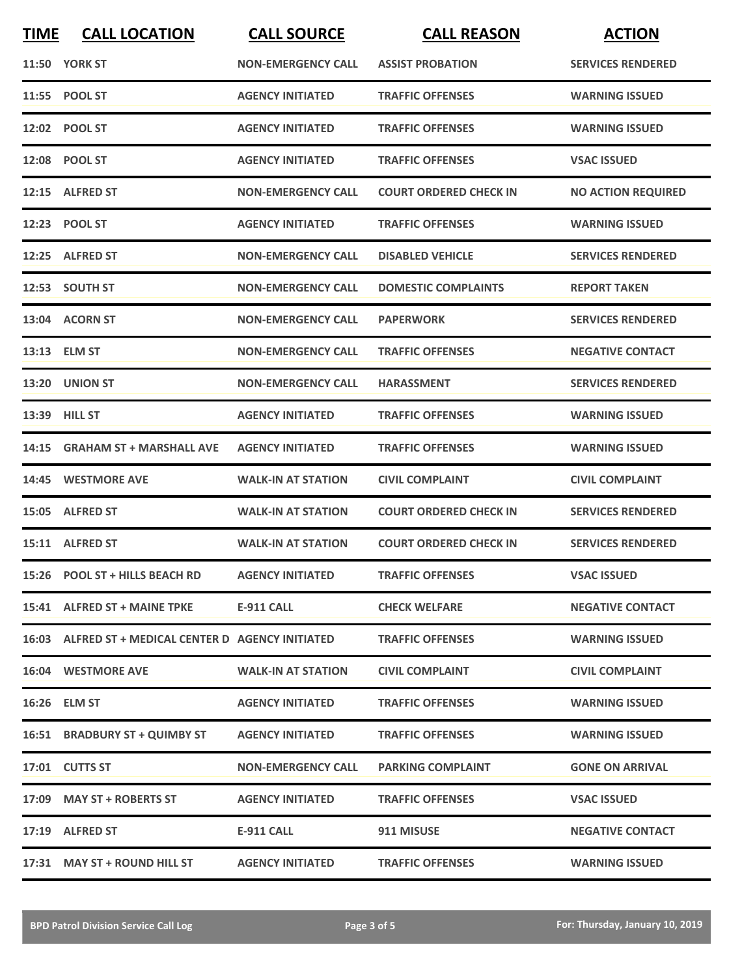| <b>TIME</b> | <b>CALL LOCATION</b>                                | <b>CALL SOURCE</b>        | <b>CALL REASON</b>            | <b>ACTION</b>             |
|-------------|-----------------------------------------------------|---------------------------|-------------------------------|---------------------------|
|             | <b>11:50 YORK ST</b>                                | <b>NON-EMERGENCY CALL</b> | <b>ASSIST PROBATION</b>       | <b>SERVICES RENDERED</b>  |
|             | 11:55 POOL ST                                       | <b>AGENCY INITIATED</b>   | <b>TRAFFIC OFFENSES</b>       | <b>WARNING ISSUED</b>     |
|             | 12:02 POOL ST                                       | <b>AGENCY INITIATED</b>   | <b>TRAFFIC OFFENSES</b>       | <b>WARNING ISSUED</b>     |
|             | 12:08 POOL ST                                       | <b>AGENCY INITIATED</b>   | <b>TRAFFIC OFFENSES</b>       | <b>VSAC ISSUED</b>        |
|             | 12:15 ALFRED ST                                     | <b>NON-EMERGENCY CALL</b> | <b>COURT ORDERED CHECK IN</b> | <b>NO ACTION REQUIRED</b> |
|             | 12:23 POOL ST                                       | <b>AGENCY INITIATED</b>   | <b>TRAFFIC OFFENSES</b>       | <b>WARNING ISSUED</b>     |
|             | 12:25 ALFRED ST                                     | <b>NON-EMERGENCY CALL</b> | <b>DISABLED VEHICLE</b>       | <b>SERVICES RENDERED</b>  |
|             | 12:53 SOUTH ST                                      | <b>NON-EMERGENCY CALL</b> | <b>DOMESTIC COMPLAINTS</b>    | <b>REPORT TAKEN</b>       |
|             | 13:04 ACORN ST                                      | <b>NON-EMERGENCY CALL</b> | <b>PAPERWORK</b>              | <b>SERVICES RENDERED</b>  |
|             | 13:13 ELM ST                                        | <b>NON-EMERGENCY CALL</b> | <b>TRAFFIC OFFENSES</b>       | <b>NEGATIVE CONTACT</b>   |
|             | 13:20 UNION ST                                      | <b>NON-EMERGENCY CALL</b> | <b>HARASSMENT</b>             | <b>SERVICES RENDERED</b>  |
|             | 13:39 HILL ST                                       | <b>AGENCY INITIATED</b>   | <b>TRAFFIC OFFENSES</b>       | <b>WARNING ISSUED</b>     |
| 14:15       | <b>GRAHAM ST + MARSHALL AVE</b>                     | <b>AGENCY INITIATED</b>   | <b>TRAFFIC OFFENSES</b>       | <b>WARNING ISSUED</b>     |
|             | 14:45 WESTMORE AVE                                  | <b>WALK-IN AT STATION</b> | <b>CIVIL COMPLAINT</b>        | <b>CIVIL COMPLAINT</b>    |
|             | 15:05 ALFRED ST                                     | <b>WALK-IN AT STATION</b> | <b>COURT ORDERED CHECK IN</b> | <b>SERVICES RENDERED</b>  |
|             | 15:11 ALFRED ST                                     | <b>WALK-IN AT STATION</b> | <b>COURT ORDERED CHECK IN</b> | <b>SERVICES RENDERED</b>  |
|             | 15:26 POOL ST + HILLS BEACH RD                      | <b>AGENCY INITIATED</b>   | <b>TRAFFIC OFFENSES</b>       | <b>VSAC ISSUED</b>        |
|             | 15:41 ALFRED ST + MAINE TPKE                        | E-911 CALL                | <b>CHECK WELFARE</b>          | <b>NEGATIVE CONTACT</b>   |
|             | 16:03 ALFRED ST + MEDICAL CENTER D AGENCY INITIATED |                           | <b>TRAFFIC OFFENSES</b>       | <b>WARNING ISSUED</b>     |
|             | 16:04 WESTMORE AVE                                  | <b>WALK-IN AT STATION</b> | <b>CIVIL COMPLAINT</b>        | <b>CIVIL COMPLAINT</b>    |
|             | 16:26 ELM ST                                        | <b>AGENCY INITIATED</b>   | <b>TRAFFIC OFFENSES</b>       | <b>WARNING ISSUED</b>     |
|             | 16:51 BRADBURY ST + QUIMBY ST                       | <b>AGENCY INITIATED</b>   | <b>TRAFFIC OFFENSES</b>       | <b>WARNING ISSUED</b>     |
|             | 17:01 CUTTS ST                                      | <b>NON-EMERGENCY CALL</b> | <b>PARKING COMPLAINT</b>      | <b>GONE ON ARRIVAL</b>    |
|             | 17:09 MAY ST + ROBERTS ST                           | <b>AGENCY INITIATED</b>   | <b>TRAFFIC OFFENSES</b>       | <b>VSAC ISSUED</b>        |
|             | 17:19 ALFRED ST                                     | E-911 CALL                | 911 MISUSE                    | <b>NEGATIVE CONTACT</b>   |
|             | 17:31 MAY ST + ROUND HILL ST                        | <b>AGENCY INITIATED</b>   | <b>TRAFFIC OFFENSES</b>       | <b>WARNING ISSUED</b>     |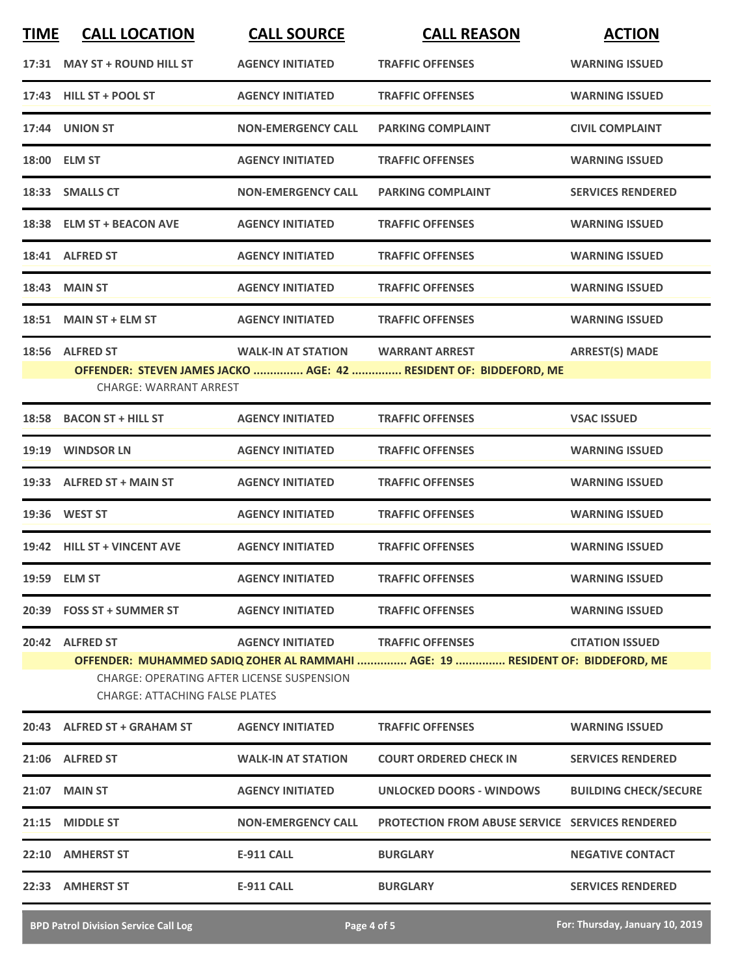| 17:31 MAY ST + ROUND HILL ST                                                        | <b>AGENCY INITIATED</b>   | <b>TRAFFIC OFFENSES</b>                                                                                   | <b>WARNING ISSUED</b>        |
|-------------------------------------------------------------------------------------|---------------------------|-----------------------------------------------------------------------------------------------------------|------------------------------|
| 17:43 HILL ST + POOL ST                                                             | <b>AGENCY INITIATED</b>   | <b>TRAFFIC OFFENSES</b>                                                                                   | <b>WARNING ISSUED</b>        |
| 17:44 UNION ST                                                                      | <b>NON-EMERGENCY CALL</b> | <b>PARKING COMPLAINT</b>                                                                                  | <b>CIVIL COMPLAINT</b>       |
| 18:00 ELM ST                                                                        | <b>AGENCY INITIATED</b>   | <b>TRAFFIC OFFENSES</b>                                                                                   | <b>WARNING ISSUED</b>        |
| 18:33 SMALLS CT                                                                     | <b>NON-EMERGENCY CALL</b> | <b>PARKING COMPLAINT</b>                                                                                  | <b>SERVICES RENDERED</b>     |
| 18:38 ELM ST + BEACON AVE                                                           | <b>AGENCY INITIATED</b>   | <b>TRAFFIC OFFENSES</b>                                                                                   | <b>WARNING ISSUED</b>        |
| 18:41 ALFRED ST                                                                     | <b>AGENCY INITIATED</b>   | <b>TRAFFIC OFFENSES</b>                                                                                   | <b>WARNING ISSUED</b>        |
| <b>18:43 MAIN ST</b>                                                                | <b>AGENCY INITIATED</b>   | <b>TRAFFIC OFFENSES</b>                                                                                   | <b>WARNING ISSUED</b>        |
| 18:51 MAIN ST + ELM ST                                                              | <b>AGENCY INITIATED</b>   | <b>TRAFFIC OFFENSES</b>                                                                                   | <b>WARNING ISSUED</b>        |
| 18:56 ALFRED ST                                                                     | <b>WALK-IN AT STATION</b> | <b>WARRANT ARREST</b><br>OFFENDER: STEVEN JAMES JACKO  AGE: 42  RESIDENT OF: BIDDEFORD, ME                | <b>ARREST(S) MADE</b>        |
| <b>CHARGE: WARRANT ARREST</b>                                                       |                           |                                                                                                           |                              |
| 18:58 BACON ST + HILL ST                                                            | <b>AGENCY INITIATED</b>   | <b>TRAFFIC OFFENSES</b>                                                                                   | <b>VSAC ISSUED</b>           |
| 19:19 WINDSOR LN                                                                    | <b>AGENCY INITIATED</b>   | <b>TRAFFIC OFFENSES</b>                                                                                   | <b>WARNING ISSUED</b>        |
| 19:33 ALFRED ST + MAIN ST                                                           | <b>AGENCY INITIATED</b>   | <b>TRAFFIC OFFENSES</b>                                                                                   | <b>WARNING ISSUED</b>        |
| 19:36 WEST ST                                                                       | <b>AGENCY INITIATED</b>   | <b>TRAFFIC OFFENSES</b>                                                                                   | <b>WARNING ISSUED</b>        |
| 19:42 HILL ST + VINCENT AVE                                                         | <b>AGENCY INITIATED</b>   | <b>TRAFFIC OFFENSES</b>                                                                                   | <b>WARNING ISSUED</b>        |
| 19:59 ELM ST                                                                        | <b>AGENCY INITIATED</b>   | <b>TRAFFIC OFFENSES</b>                                                                                   | <b>WARNING ISSUED</b>        |
| 20:39 FOSS ST + SUMMER ST                                                           | <b>AGENCY INITIATED</b>   | <b>TRAFFIC OFFENSES</b>                                                                                   | <b>WARNING ISSUED</b>        |
| 20:42 ALFRED ST                                                                     | <b>AGENCY INITIATED</b>   | <b>TRAFFIC OFFENSES</b><br>OFFENDER: MUHAMMED SADIQ ZOHER AL RAMMAHI  AGE: 19  RESIDENT OF: BIDDEFORD, ME | <b>CITATION ISSUED</b>       |
| CHARGE: OPERATING AFTER LICENSE SUSPENSION<br><b>CHARGE: ATTACHING FALSE PLATES</b> |                           |                                                                                                           |                              |
| 20:43 ALFRED ST + GRAHAM ST                                                         | <b>AGENCY INITIATED</b>   | <b>TRAFFIC OFFENSES</b>                                                                                   | <b>WARNING ISSUED</b>        |
| 21:06 ALFRED ST                                                                     | <b>WALK-IN AT STATION</b> | <b>COURT ORDERED CHECK IN</b>                                                                             | <b>SERVICES RENDERED</b>     |
| 21:07 MAIN ST                                                                       | <b>AGENCY INITIATED</b>   | UNLOCKED DOORS - WINDOWS                                                                                  | <b>BUILDING CHECK/SECURE</b> |
| 21:15 MIDDLE ST                                                                     | <b>NON-EMERGENCY CALL</b> | <b>PROTECTION FROM ABUSE SERVICE SERVICES RENDERED</b>                                                    |                              |
| 22:10 AMHERST ST                                                                    | <b>E-911 CALL</b>         | <b>BURGLARY</b>                                                                                           | <b>NEGATIVE CONTACT</b>      |
| 22:33 AMHERST ST                                                                    | E-911 CALL                | <b>BURGLARY</b>                                                                                           | <b>SERVICES RENDERED</b>     |